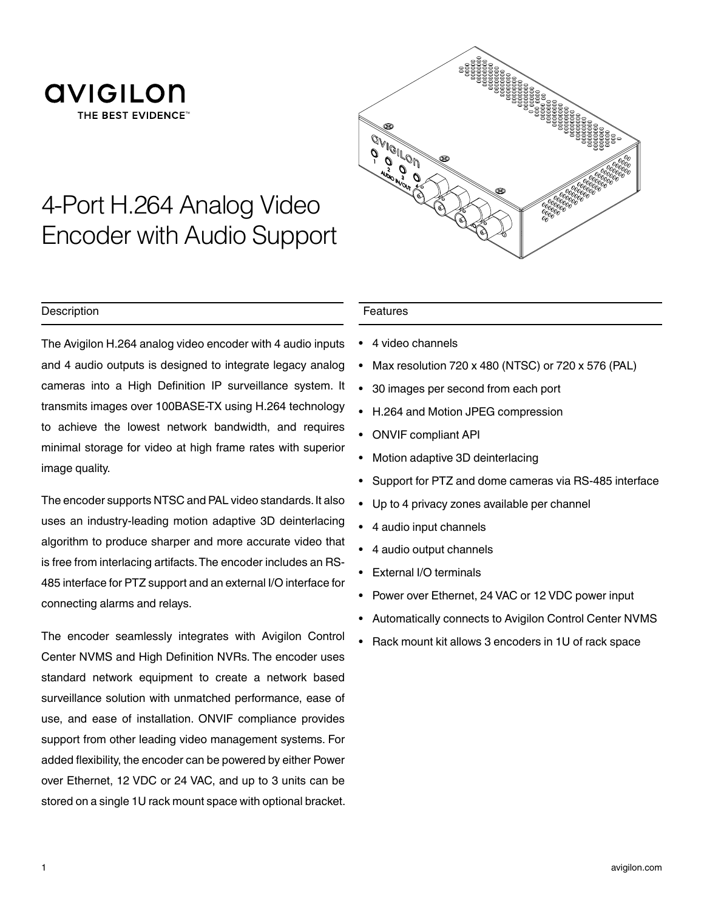



# 4-Port H.264 Analog Video Encoder with Audio Support

### **Description**

The Avigilon H.264 analog video encoder with 4 audio inputs and 4 audio outputs is designed to integrate legacy analog cameras into a High Definition IP surveillance system. It transmits images over 100BASE-TX using H.264 technology to achieve the lowest network bandwidth, and requires minimal storage for video at high frame rates with superior image quality.

The encoder supports NTSC and PAL video standards. It also uses an industry-leading motion adaptive 3D deinterlacing algorithm to produce sharper and more accurate video that is free from interlacing artifacts. The encoder includes an RS-485 interface for PTZ support and an external I/O interface for connecting alarms and relays.

The encoder seamlessly integrates with Avigilon Control Center NVMS and High Definition NVRs. The encoder uses standard network equipment to create a network based surveillance solution with unmatched performance, ease of use, and ease of installation. ONVIF compliance provides support from other leading video management systems. For added flexibility, the encoder can be powered by either Power over Ethernet, 12 VDC or 24 VAC, and up to 3 units can be stored on a single 1U rack mount space with optional bracket.

#### Features

- 4 video channels
- Max resolution 720 x 480 (NTSC) or 720 x 576 (PAL)
- 30 images per second from each port
- H.264 and Motion JPEG compression
- ONVIF compliant API
- Motion adaptive 3D deinterlacing
- Support for PTZ and dome cameras via RS-485 interface
- Up to 4 privacy zones available per channel
- 4 audio input channels
- 4 audio output channels
- External I/O terminals
- Power over Ethernet, 24 VAC or 12 VDC power input
- Automatically connects to Avigilon Control Center NVMS
- Rack mount kit allows 3 encoders in 1U of rack space